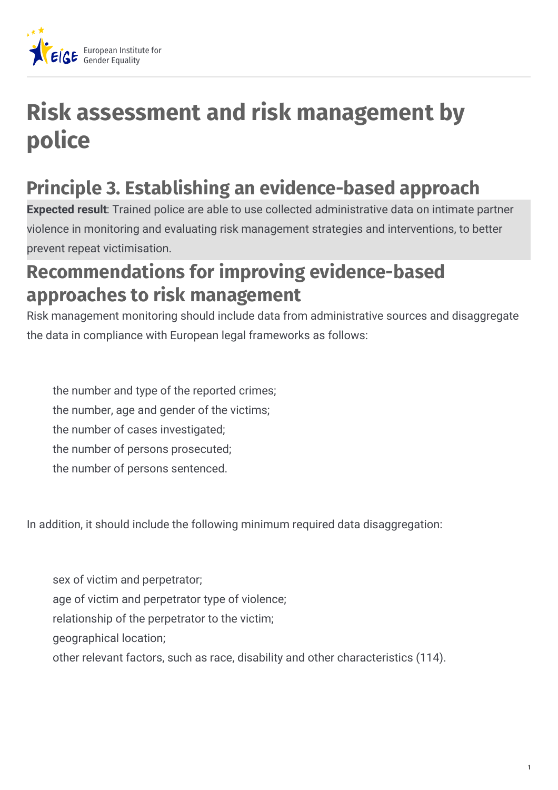

## **Risk assessment and risk management by police**

## **Principle 3. Establishing an evidence-based approach**

**Expected result**: Trained police are able to use collected administrative data on intimate partner violence in monitoring and evaluating risk management strategies and interventions, to better prevent repeat victimisation.

## **Recommendations for improving evidence-based approaches to risk management**

Risk management monitoring should include data from administrative sources and disaggregate the data in compliance with European legal frameworks as follows:

the number and type of the reported crimes; the number, age and gender of the victims; the number of cases investigated; the number of persons prosecuted; the number of persons sentenced.

In addition, it should include the following minimum required data disaggregation:

sex of victim and perpetrator; age of victim and perpetrator type of violence; relationship of the perpetrator to the victim; geographical location; other relevant factors, such as race, disability and other characteristics (114).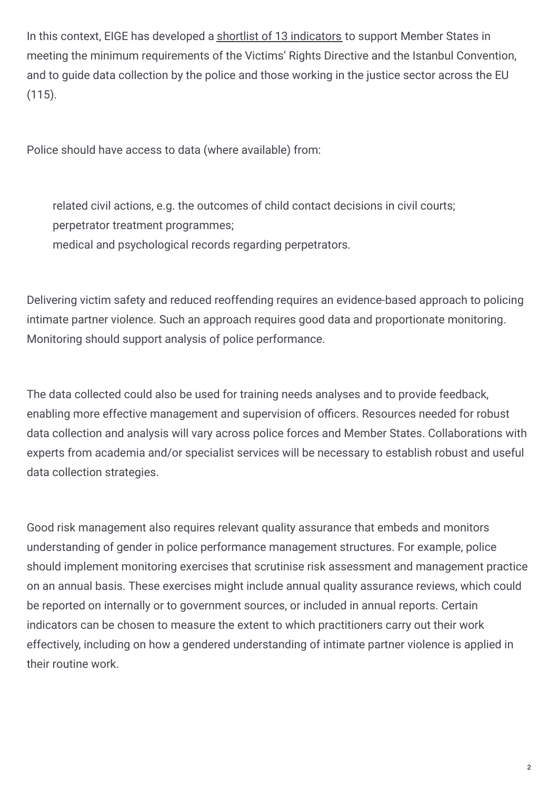In this context, EIGE has developed a shortlist of 13 indicators to support Member States in meeting the minimum requirements of the Victims' Rights Directive and the Istanbul Convention, and to guide data collection by the police and those working in the justice sector across the EU (115).

Police should have access to data (where available) from:

related civil actions, e.g. the outcomes of child contact decisions in civil courts; perpetrator treatment programmes; medical and psychological records regarding perpetrators.

Delivering victim safety and reduced reoffending requires an evidence-based approach to policing intimate partner violence. Such an approach requires good data and proportionate monitoring. Monitoring should support analysis of police performance.

The data collected could also be used for training needs analyses and to provide feedback, enabling more effective management and supervision of officers. Resources needed for robust data collection and analysis will vary across police forces and Member States. Collaborations with experts from academia and/or specialist services will be necessary to establish robust and useful data collection strategies.

Good risk management also requires relevant quality assurance that embeds and monitors understanding of gender in police performance management structures. For example, police should implement monitoring exercises that scrutinise risk assessment and management practice on an annual basis. These exercises might include annual quality assurance reviews, which could be reported on internally or to government sources, or included in annual reports. Certain indicators can be chosen to measure the extent to which practitioners carry out their work effectively, including on how a gendered understanding of intimate partner violence is applied in their routine work.